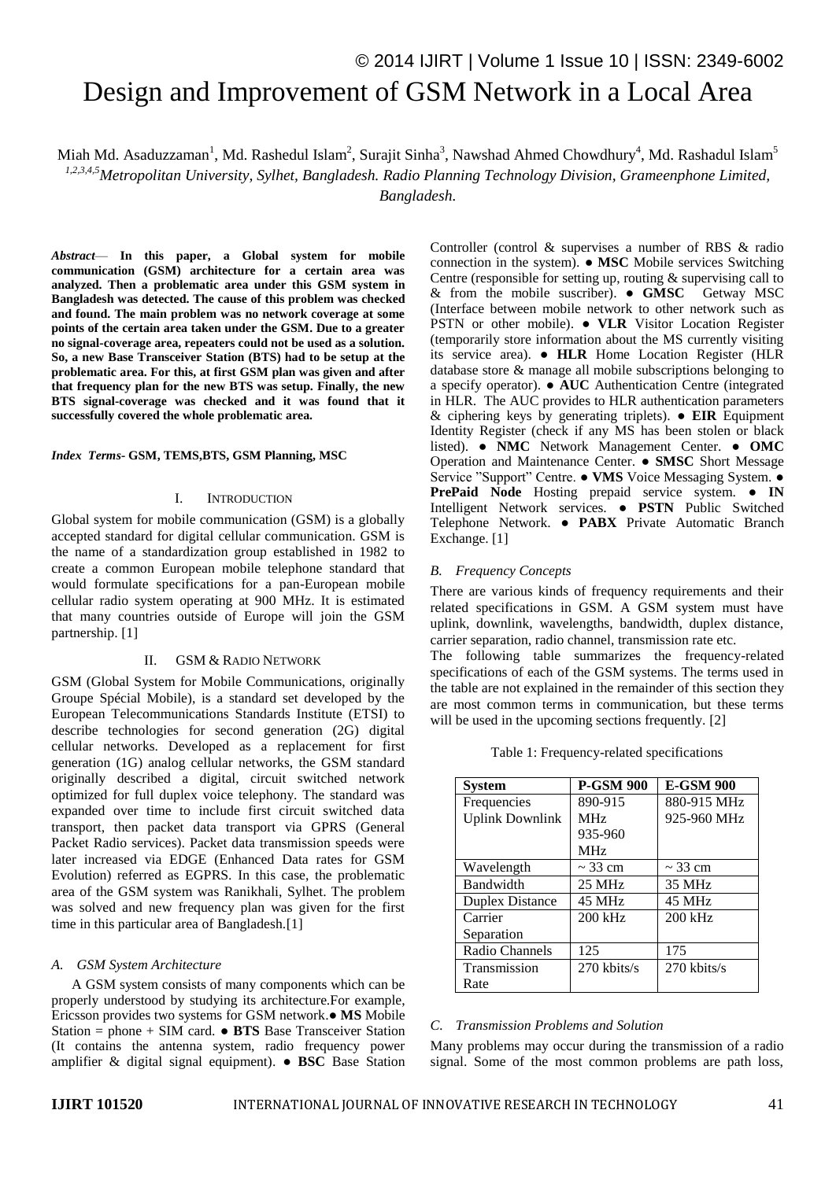# © 2014 IJIRT | Volume 1 Issue 10 | ISSN: 2349-6002 Design and Improvement of GSM Network in a Local Area

Miah Md. Asaduzzaman<sup>1</sup>, Md. Rashedul Islam<sup>2</sup>, Surajit Sinha<sup>3</sup>, Nawshad Ahmed Chowdhury<sup>4</sup>, Md. Rashadul Islam<sup>5</sup>

*1,2,3,4,5Metropolitan University, Sylhet, Bangladesh. Radio Planning Technology Division, Grameenphone Limited,* 

*Bangladesh.*

*Abstract*— **In this paper, a Global system for mobile communication (GSM) architecture for a certain area was analyzed. Then a problematic area under this GSM system in Bangladesh was detected. The cause of this problem was checked and found. The main problem was no network coverage at some points of the certain area taken under the GSM. Due to a greater no signal-coverage area, repeaters could not be used as a solution. So, a new Base Transceiver Station (BTS) had to be setup at the problematic area. For this, at first GSM plan was given and after that frequency plan for the new BTS was setup. Finally, the new BTS signal-coverage was checked and it was found that it successfully covered the whole problematic area.** 

#### *Index Terms-* **GSM, TEMS,BTS, GSM Planning, MSC**

### I. INTRODUCTION

Global system for mobile communication (GSM) is a globally accepted standard for digital cellular communication. GSM is the name of a standardization group established in 1982 to create a common European mobile telephone standard that would formulate specifications for a pan-European mobile cellular radio system operating at 900 MHz. It is estimated that many countries outside of Europe will join the GSM partnership. [1]

### II. GSM & RADIO NETWORK

GSM (Global System for Mobile Communications, originally Groupe Spécial Mobile), is a standard set developed by the European Telecommunications Standards Institute (ETSI) to describe technologies for second generation (2G) digital cellular networks. Developed as a replacement for first generation (1G) analog cellular networks, the GSM standard originally described a digital, circuit switched network optimized for full duplex voice telephony. The standard was expanded over time to include first circuit switched data transport, then packet data transport via GPRS (General Packet Radio services). Packet data transmission speeds were later increased via EDGE (Enhanced Data rates for GSM Evolution) referred as EGPRS. In this case, the problematic area of the GSM system was Ranikhali, Sylhet. The problem was solved and new frequency plan was given for the first time in this particular area of Bangladesh.[1]

#### *A. GSM System Architecture*

A GSM system consists of many components which can be properly understood by studying its architecture.For example, Ericsson provides two systems for GSM network.● **MS** Mobile Station = phone + SIM card. ● **BTS** Base Transceiver Station (It contains the antenna system, radio frequency power amplifier & digital signal equipment). ● **BSC** Base Station

Controller (control & supervises a number of RBS & radio connection in the system). ● **MSC** Mobile services Switching Centre (responsible for setting up, routing & supervising call to & from the mobile suscriber). ● **GMSC** Getway MSC (Interface between mobile network to other network such as PSTN or other mobile). ● **VLR** Visitor Location Register (temporarily store information about the MS currently visiting its service area). ● **HLR** Home Location Register (HLR database store & manage all mobile subscriptions belonging to a specify operator). ● **AUC** Authentication Centre (integrated in HLR. The AUC provides to HLR authentication parameters & ciphering keys by generating triplets). ● **EIR** Equipment Identity Register (check if any MS has been stolen or black listed). ● **NMC** Network Management Center. ● **OMC** Operation and Maintenance Center. ● **SMSC** Short Message Service "Support" Centre. ● **VMS** Voice Messaging System. ● **PrePaid Node** Hosting prepaid service system. ● **IN** Intelligent Network services. ● **PSTN** Public Switched Telephone Network. ● **PABX** Private Automatic Branch Exchange. [1]

### *B. Frequency Concepts*

There are various kinds of frequency requirements and their related specifications in GSM. A GSM system must have uplink, downlink, wavelengths, bandwidth, duplex distance, carrier separation, radio channel, transmission rate etc.

The following table summarizes the frequency-related specifications of each of the GSM systems. The terms used in the table are not explained in the remainder of this section they are most common terms in communication, but these terms will be used in the upcoming sections frequently. [2]

Table 1: Frequency-related specifications

| <b>System</b>          | <b>P-GSM 900</b> | <b>E-GSM 900</b> |
|------------------------|------------------|------------------|
| Frequencies            | 890-915          | 880-915 MHz      |
| <b>Uplink Downlink</b> | MH <sub>z</sub>  | 925-960 MHz      |
|                        | 935-960          |                  |
|                        | MH <sub>z</sub>  |                  |
| Wavelength             | $\sim$ 33 cm     | $\sim$ 33 cm     |
| Bandwidth              | $25 \text{ MHz}$ | 35 MHz           |
| <b>Duplex Distance</b> | 45 MHz           | 45 MHz           |
| Carrier                | $200$ kHz        | $200$ kHz        |
| Separation             |                  |                  |
| Radio Channels         | 125              | 175              |
| Transmission           | $270$ kbits/s    | $270$ kbits/s    |
| Rate                   |                  |                  |

### *C. Transmission Problems and Solution*

Many problems may occur during the transmission of a radio signal. Some of the most common problems are path loss,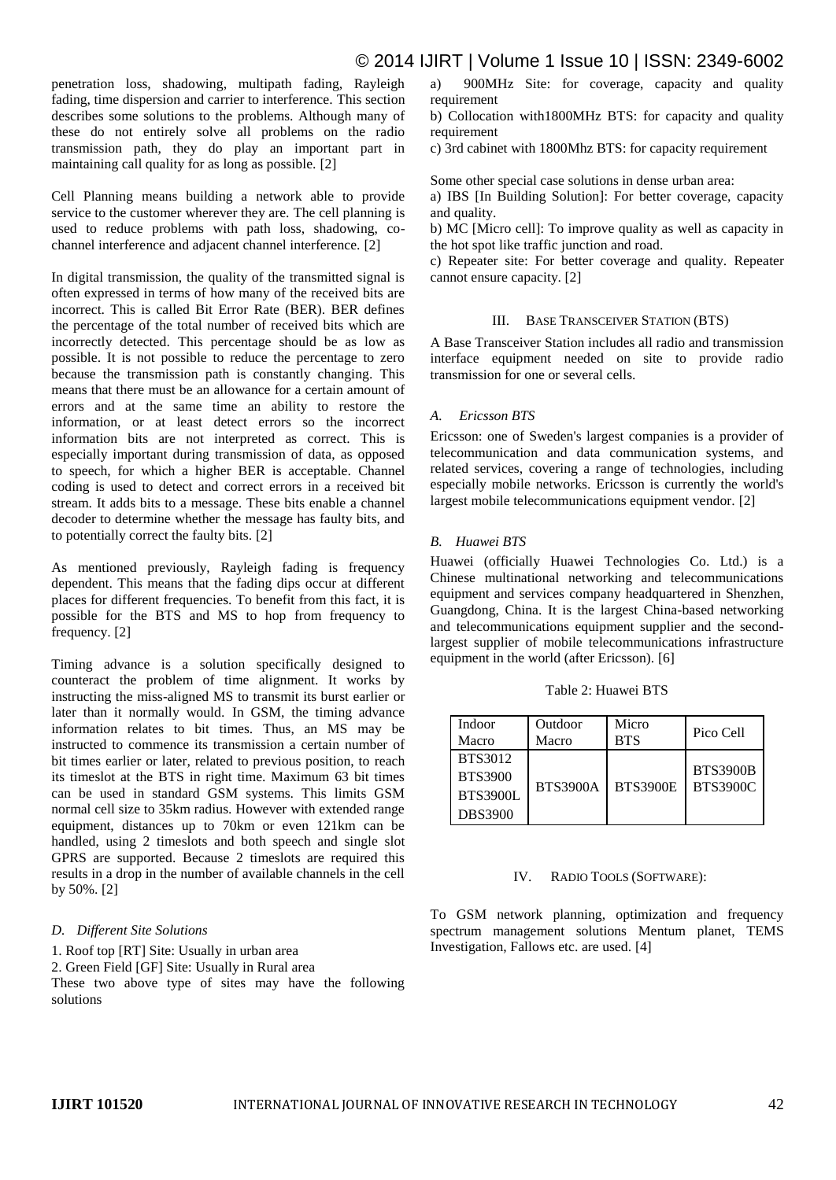## © 2014 IJIRT | Volume 1 Issue 10 | ISSN: 2349-6002

penetration loss, shadowing, multipath fading, Rayleigh fading, time dispersion and carrier to interference. This section describes some solutions to the problems. Although many of these do not entirely solve all problems on the radio transmission path, they do play an important part in maintaining call quality for as long as possible. [2]

Cell Planning means building a network able to provide service to the customer wherever they are. The cell planning is used to reduce problems with path loss, shadowing, cochannel interference and adjacent channel interference. [2]

In digital transmission, the quality of the transmitted signal is often expressed in terms of how many of the received bits are incorrect. This is called Bit Error Rate (BER). BER defines the percentage of the total number of received bits which are incorrectly detected. This percentage should be as low as possible. It is not possible to reduce the percentage to zero because the transmission path is constantly changing. This means that there must be an allowance for a certain amount of errors and at the same time an ability to restore the information, or at least detect errors so the incorrect information bits are not interpreted as correct. This is especially important during transmission of data, as opposed to speech, for which a higher BER is acceptable. Channel coding is used to detect and correct errors in a received bit stream. It adds bits to a message. These bits enable a channel decoder to determine whether the message has faulty bits, and to potentially correct the faulty bits. [2]

As mentioned previously, Rayleigh fading is frequency dependent. This means that the fading dips occur at different places for different frequencies. To benefit from this fact, it is possible for the BTS and MS to hop from frequency to frequency. [2]

Timing advance is a solution specifically designed to counteract the problem of time alignment. It works by instructing the miss-aligned MS to transmit its burst earlier or later than it normally would. In GSM, the timing advance information relates to bit times. Thus, an MS may be instructed to commence its transmission a certain number of bit times earlier or later, related to previous position, to reach its timeslot at the BTS in right time. Maximum 63 bit times can be used in standard GSM systems. This limits GSM normal cell size to 35km radius. However with extended range equipment, distances up to 70km or even 121km can be handled, using 2 timeslots and both speech and single slot GPRS are supported. Because 2 timeslots are required this results in a drop in the number of available channels in the cell by 50%. [2]

### *D. Different Site Solutions*

1. Roof top [RT] Site: Usually in urban area 2. Green Field [GF] Site: Usually in Rural area These two above type of sites may have the following solutions

a) 900MHz Site: for coverage, capacity and quality requirement

b) Collocation with1800MHz BTS: for capacity and quality requirement

c) 3rd cabinet with 1800Mhz BTS: for capacity requirement

Some other special case solutions in dense urban area:

a) IBS [In Building Solution]: For better coverage, capacity and quality.

b) MC [Micro cell]: To improve quality as well as capacity in the hot spot like traffic junction and road.

c) Repeater site: For better coverage and quality. Repeater cannot ensure capacity. [2]

### III. BASE TRANSCEIVER STATION (BTS)

A Base Transceiver Station includes all radio and transmission interface equipment needed on site to provide radio transmission for one or several cells.

### *A. Ericsson BTS*

Ericsson: one of Sweden's largest companies is a provider of telecommunication and data communication systems, and related services, covering a range of technologies, including especially mobile networks. Ericsson is currently the world's largest mobile telecommunications equipment vendor. [2]

### *B. Huawei BTS*

Huawei (officially Huawei Technologies Co. Ltd.) is a Chinese multinational networking and telecommunications equipment and services company headquartered in Shenzhen, Guangdong, China. It is the largest China-based networking and telecommunications equipment supplier and the secondlargest supplier of mobile telecommunications infrastructure equipment in the world (after Ericsson). [6]

| Indoor                                                         | Outdoor         | Micro           | Pico Cell                          |
|----------------------------------------------------------------|-----------------|-----------------|------------------------------------|
| Macro                                                          | Macro           | <b>BTS</b>      |                                    |
| <b>BTS3012</b><br><b>BTS3900</b><br><b>BTS3900L</b><br>DBS3900 | <b>BTS3900A</b> | <b>BTS3900E</b> | <b>BTS3900B</b><br><b>BTS3900C</b> |

## Table 2: Huawei BTS

### IV. RADIO TOOLS (SOFTWARE):

To GSM network planning, optimization and frequency spectrum management solutions Mentum planet, TEMS Investigation, Fallows etc. are used. [4]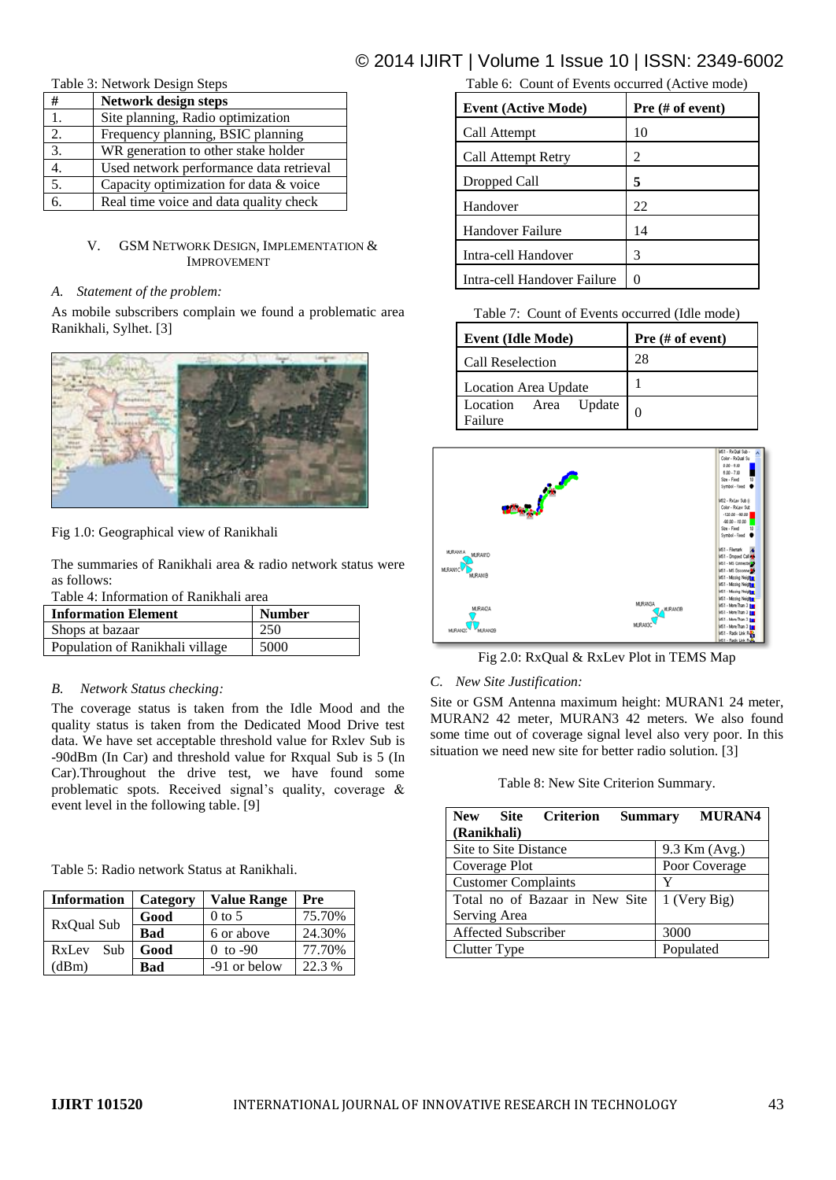## © 2014 IJIRT | Volume 1 Issue 10 | ISSN: 2349-6002

Table 3: Network Design Steps

| #  | Network design steps                    |
|----|-----------------------------------------|
| 1. | Site planning, Radio optimization       |
| 2. | Frequency planning, BSIC planning       |
| 3. | WR generation to other stake holder     |
|    | Used network performance data retrieval |
| 5. | Capacity optimization for data & voice  |
|    | Real time voice and data quality check  |

## V. GSM NETWORK DESIGN, IMPLEMENTATION & IMPROVEMENT

### *A. Statement of the problem:*

As mobile subscribers complain we found a problematic area Ranikhali, Sylhet. [3]



Fig 1.0: Geographical view of Ranikhali

The summaries of Ranikhali area & radio network status were as follows:

Table 4: Information of Ranikhali area

| <b>Information Element</b>      | <b>Number</b> |
|---------------------------------|---------------|
| Shops at bazaar                 | 250           |
| Population of Ranikhali village | 5000          |

## *B. Network Status checking:*

The coverage status is taken from the Idle Mood and the quality status is taken from the Dedicated Mood Drive test data. We have set acceptable threshold value for Rxlev Sub is -90dBm (In Car) and threshold value for Rxqual Sub is 5 (In Car).Throughout the drive test, we have found some problematic spots. Received signal's quality, coverage & event level in the following table. [9]

Table 5: Radio network Status at Ranikhali.

| <b>Information</b> | Category | <b>Value Range</b> | Pre    |
|--------------------|----------|--------------------|--------|
|                    | Good     | $0$ to 5           | 75.70% |
| RxQual Sub         | Bad      | 6 or above         | 24.30% |
| Sub<br>RxLev       | Good     | 0 to $-90$         | 77.70% |
| (dBm)              | Bad      | -91 or below       | 22.3%  |

## Table 6: Count of Events occurred (Active mode)

| <b>Event (Active Mode)</b>  | Pre (# of event) |
|-----------------------------|------------------|
| Call Attempt                | 10               |
| Call Attempt Retry          | 2                |
| Dropped Call                | 5                |
| Handover                    | 22               |
| Handover Failure            | 14               |
| Intra-cell Handover         | 3                |
| Intra-cell Handover Failure |                  |

Table 7: Count of Events occurred (Idle mode)

| <b>Event (Idle Mode)</b>        | Pre $#$ of event) |  |
|---------------------------------|-------------------|--|
| Call Reselection                | 28                |  |
| <b>Location Area Update</b>     |                   |  |
| Location Area Update<br>Failure |                   |  |



Fig 2.0: RxQual & RxLev Plot in TEMS Map

## *C. New Site Justification:*

Site or GSM Antenna maximum height: MURAN1 24 meter, MURAN2 42 meter, MURAN3 42 meters. We also found some time out of coverage signal level also very poor. In this situation we need new site for better radio solution. [3]

Table 8: New Site Criterion Summary.

| Site Criterion<br><b>New</b><br>(Ranikhali) |  | <b>Summary</b> |               | <b>MURAN4</b> |
|---------------------------------------------|--|----------------|---------------|---------------|
| Site to Site Distance                       |  |                |               | 9.3 Km (Avg.) |
| Coverage Plot                               |  |                | Poor Coverage |               |
| <b>Customer Complaints</b>                  |  | Y              |               |               |
| Total no of Bazaar in New Site              |  | 1 (Very Big)   |               |               |
| Serving Area                                |  |                |               |               |
| Affected Subscriber                         |  | 3000           |               |               |
| Clutter Type                                |  |                |               | Populated     |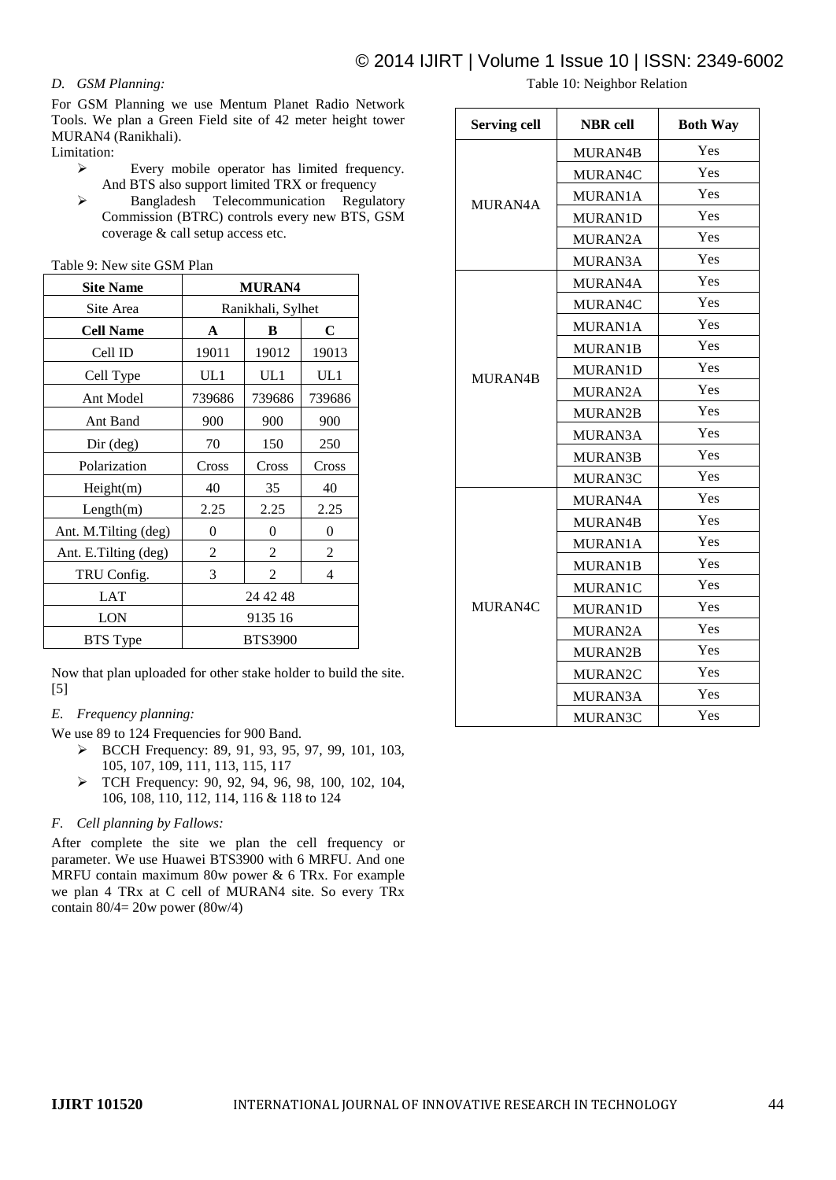## *D. GSM Planning:*

For GSM Planning we use Mentum Planet Radio Network Tools. We plan a Green Field site of 42 meter height tower MURAN4 (Ranikhali).

Limitation:

- Every mobile operator has limited frequency. And BTS also support limited TRX or frequency
- Bangladesh Telecommunication Regulatory Commission (BTRC) controls every new BTS, GSM coverage & call setup access etc.

| <b>Site Name</b>     | <b>MURAN4</b>     |                |                |
|----------------------|-------------------|----------------|----------------|
| Site Area            | Ranikhali, Sylhet |                |                |
| <b>Cell Name</b>     | A                 | B              | $\mathbf C$    |
| Cell ID              | 19011             | 19012          | 19013          |
| Cell Type            | UL1               | UL1            | UL1            |
| Ant Model            | 739686            | 739686         | 739686         |
| Ant Band             | 900               | 900            | 900            |
| $Dir$ (deg)          | 70                | 150            | 250            |
| Polarization         | Cross             | Cross          | Cross          |
| Height(m)            | 40                | 35             | 40             |
| Length(m)            | 2.25              | 2.25           | 2.25           |
| Ant. M.Tilting (deg) | 0                 | 0              | $\overline{0}$ |
| Ant. E.Tilting (deg) | 2                 | 2              | 2              |
| TRU Config.          | 3                 | $\overline{c}$ | 4              |
| <b>LAT</b>           | 24 42 48          |                |                |
| LON                  | 9135 16           |                |                |
| <b>BTS</b> Type      | <b>BTS3900</b>    |                |                |

Now that plan uploaded for other stake holder to build the site. [5]

### *E. Frequency planning:*

- We use 89 to 124 Frequencies for 900 Band.
	- BCCH Frequency: 89, 91, 93, 95, 97, 99, 101, 103, 105, 107, 109, 111, 113, 115, 117
	- TCH Frequency: 90, 92, 94, 96, 98, 100, 102, 104, 106, 108, 110, 112, 114, 116 & 118 to 124

### *F. Cell planning by Fallows:*

After complete the site we plan the cell frequency or parameter. We use Huawei BTS3900 with 6 MRFU. And one MRFU contain maximum 80w power & 6 TRx. For example we plan 4 TRx at C cell of MURAN4 site. So every TRx contain  $80/4 = 20w$  power ( $80w/4$ )

Table 10: Neighbor Relation

| <b>Serving cell</b> | <b>NBR</b> cell | <b>Both Way</b> |
|---------------------|-----------------|-----------------|
|                     | MURAN4B         | Yes             |
|                     | MURAN4C         | Yes             |
| MURAN4A             | MURAN1A         | Yes             |
|                     | <b>MURAN1D</b>  | Yes             |
|                     | <b>MURAN2A</b>  | Yes             |
|                     | MURAN3A         | Yes             |
|                     | MURAN4A         | Yes             |
|                     | MURAN4C         | Yes             |
|                     | MURAN1A         | Yes             |
|                     | <b>MURAN1B</b>  | Yes             |
| MURAN4B             | <b>MURAN1D</b>  | Yes             |
|                     | MURAN2A         | Yes             |
|                     | MURAN2B         | Yes             |
|                     | MURAN3A         | Yes             |
|                     | MURAN3B         | Yes             |
|                     | MURAN3C         | Yes             |
|                     | MURAN4A         | Yes             |
|                     | MURAN4B         | Yes             |
|                     | MURAN1A         | Yes             |
|                     | MURAN1B         | Yes             |
|                     | MURAN1C         | Yes             |
| MURAN4C             | MURAN1D         | Yes             |
|                     | MURAN2A         | Yes             |
|                     | MURAN2B         | Yes             |
|                     | MURAN2C         | Yes             |
|                     | MURAN3A         | Yes             |
|                     | MURAN3C         | Yes             |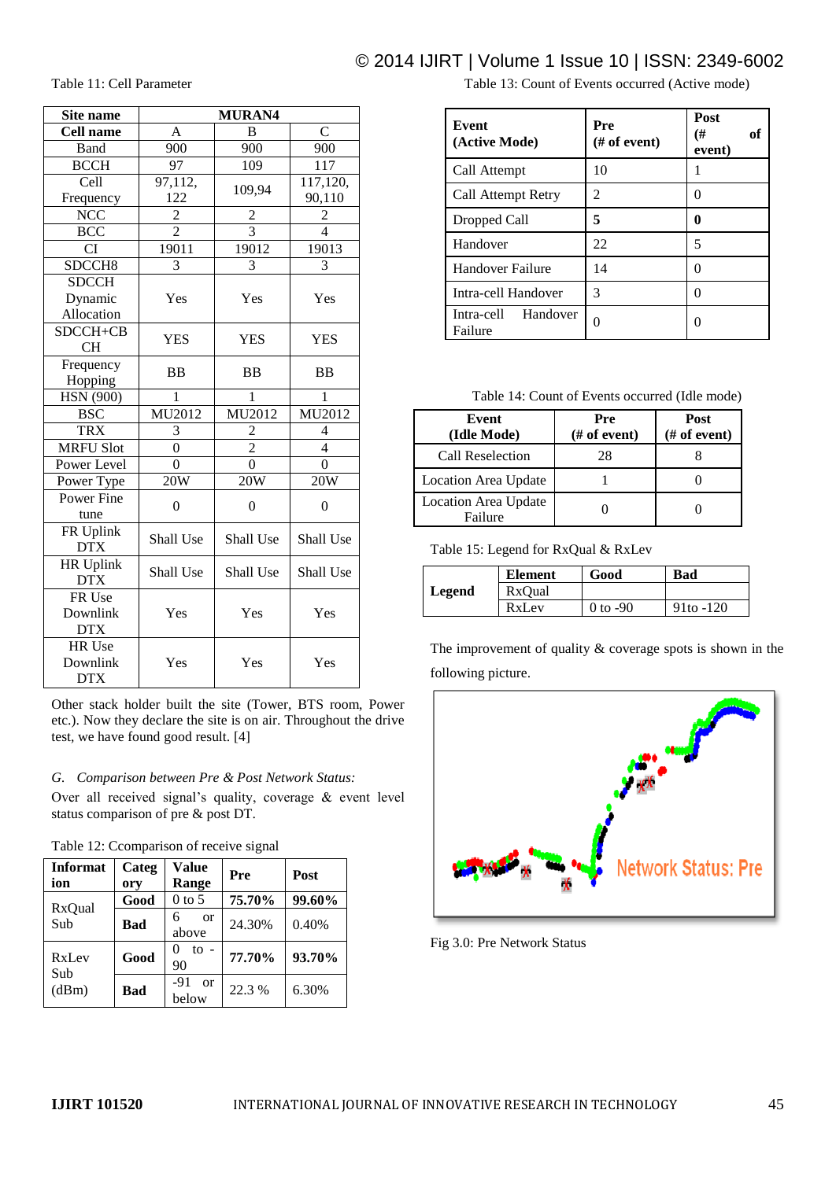## © 2014 IJIRT | Volume 1 Issue 10 | ISSN: 2349-6002

Table 11: Cell Parameter

| Site name          | <b>MURAN4</b>    |                  |                          |
|--------------------|------------------|------------------|--------------------------|
| <b>Cell name</b>   | A                | <sub>B</sub>     | $\overline{C}$           |
| <b>Band</b>        | 900              | 900              | 900                      |
| <b>BCCH</b>        | 97               | 109              | 117                      |
| Cell               | 97,112,          |                  | 117,120,                 |
| Frequency          | 122              | 109,94           | 90,110                   |
| <b>NCC</b>         | $\overline{c}$   | $\overline{c}$   | $\overline{c}$           |
| <b>BCC</b>         | $\overline{2}$   | $\overline{3}$   | $\overline{4}$           |
| <b>CI</b>          | 19011            | 19012            | 19013                    |
| SDCCH <sub>8</sub> | 3                | 3                | 3                        |
| <b>SDCCH</b>       |                  |                  |                          |
| Dynamic            | Yes              | Yes              | Yes                      |
| Allocation         |                  |                  |                          |
| SDCCH+CB           | <b>YES</b>       | <b>YES</b>       | <b>YES</b>               |
| <b>CH</b>          |                  |                  |                          |
| Frequency          | <b>BB</b>        | <b>BB</b>        | <b>BB</b>                |
| Hopping            |                  |                  |                          |
| <b>HSN</b> (900)   | 1                | 1                | 1                        |
| <b>BSC</b>         | MU2012           | MU2012           | MU2012                   |
| <b>TRX</b>         | 3                | 2                | $\overline{\mathcal{L}}$ |
| <b>MRFU Slot</b>   | $\overline{0}$   | $\overline{2}$   | $\overline{4}$           |
| Power Level        | $\theta$         | $\theta$         | $\theta$                 |
| Power Type         | 20W              | 20W              | 20W                      |
| Power Fine         | $\boldsymbol{0}$ | $\boldsymbol{0}$ | $\boldsymbol{0}$         |
| tune               |                  |                  |                          |
| FR Uplink          | Shall Use        | Shall Use        | Shall Use                |
| <b>DTX</b>         |                  |                  |                          |
| <b>HR Uplink</b>   | Shall Use        | Shall Use        | Shall Use                |
| <b>DTX</b>         |                  |                  |                          |
| FR Use             |                  |                  |                          |
| Downlink           | Yes              | Yes              | Yes                      |
| <b>DTX</b>         |                  |                  |                          |
| HR Use             |                  |                  |                          |
| Downlink           | Yes              | Yes              | Yes                      |
| <b>DTX</b>         |                  |                  |                          |

Other stack holder built the site (Tower, BTS room, Power etc.). Now they declare the site is on air. Throughout the drive test, we have found good result. [4]

### *G. Comparison between Pre & Post Network Status:*

Over all received signal's quality, coverage & event level status comparison of pre & post DT.

| Table 12: Ccomparison of receive signal |              |                             |        |        |  |  |
|-----------------------------------------|--------------|-----------------------------|--------|--------|--|--|
| <b>Informat</b><br>ion                  | Categ<br>ory | Value<br>Range              | Pre    | Post   |  |  |
| RxQual<br>Sub                           | Good         | $0$ to 5                    | 75.70% | 99.60% |  |  |
|                                         | <b>Bad</b>   | 6<br><sub>or</sub><br>above | 24.30% | 0.40%  |  |  |
| RxLev<br>Sub<br>(dBm)                   | Good         | $\mathfrak{t}$ -<br>0<br>90 | 77.70% | 93.70% |  |  |
|                                         | <b>Bad</b>   | -91<br>$\alpha$<br>below    | 22.3 % | 6.30%  |  |  |

Table 13: Count of Events occurred (Active mode)

| Event<br>(Active Mode)         | Pre<br>$#$ of event) | Post<br>(#<br>оf<br>event) |
|--------------------------------|----------------------|----------------------------|
| Call Attempt                   | 10                   |                            |
| Call Attempt Retry             | $\mathfrak{D}$       | 0                          |
| Dropped Call                   | 5                    | 0                          |
| Handover                       | 22                   | 5                          |
| Handover Failure               | 14                   | 0                          |
| Intra-cell Handover            | 3                    | $\mathcal{O}$              |
| Intra-cell Handover<br>Failure | 0                    |                            |

Table 14: Count of Events occurred (Idle mode)

| Event<br>(Idle Mode)            | Pre<br>$#$ of event) | Post<br>$#$ of event) |
|---------------------------------|----------------------|-----------------------|
| Call Reselection                | 28                   |                       |
| Location Area Update            |                      |                       |
| Location Area Update<br>Failure |                      |                       |

Table 15: Legend for RxQual & RxLev

|        | <b>Element</b> | Good       | Bad         |
|--------|----------------|------------|-------------|
| Legend | RxOual         |            |             |
|        | RxLev          | $0$ to -90 | $91to -120$ |

The improvement of quality & coverage spots is shown in the following picture.



Fig 3.0: Pre Network Status